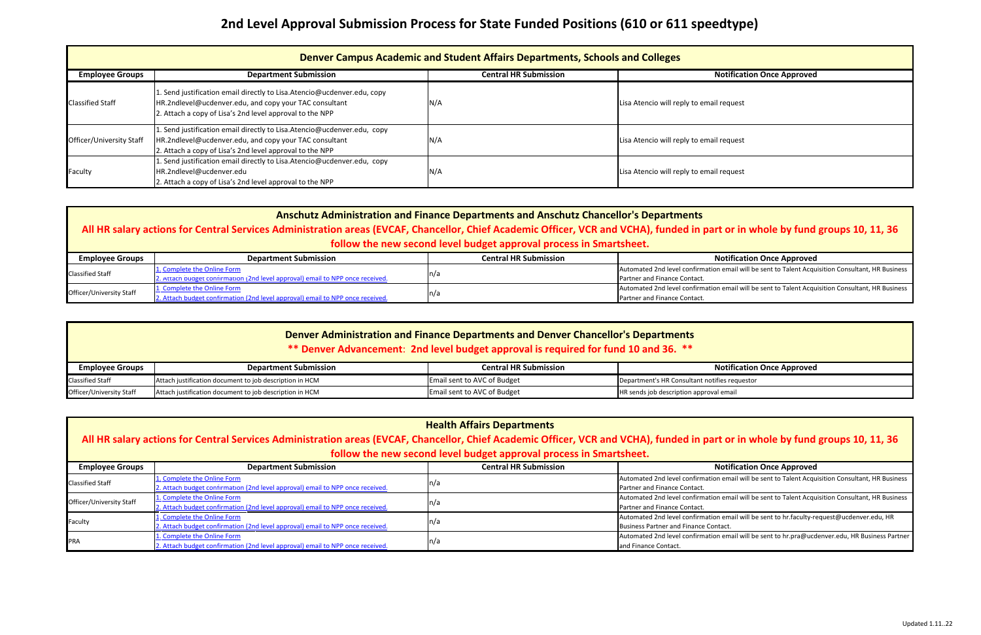| <b>Employee Groups</b>   | <b>Department Submission</b>                                                   | <b>Central HR Submission</b> | <b>Notification Once Approved</b>                                                                 |
|--------------------------|--------------------------------------------------------------------------------|------------------------------|---------------------------------------------------------------------------------------------------|
| <b>Classified Staff</b>  | 1. Complete the Online Form                                                    |                              | Automated 2nd level confirmation email will be sent to Talent Acquisition Consultant, HR Business |
|                          | 2. Attach budget confirmation (2nd level approval) email to NPP once received. | n/a                          | <b>Partner and Finance Contact.</b>                                                               |
| Officer/University Staff | 1. Complete the Online Form                                                    | n/a                          | Automated 2nd level confirmation email will be sent to Talent Acquisition Consultant, HR Business |
|                          | 2. Attach budget confirmation (2nd level approval) email to NPP once received. |                              | Partner and Finance Contact.                                                                      |

| Denver Campus Academic and Student Affairs Departments, Schools and Colleges |                                                                                                                                                                                                |                              |                                          |
|------------------------------------------------------------------------------|------------------------------------------------------------------------------------------------------------------------------------------------------------------------------------------------|------------------------------|------------------------------------------|
| <b>Employee Groups</b>                                                       | <b>Department Submission</b>                                                                                                                                                                   | <b>Central HR Submission</b> | <b>Notification Once Approved</b>        |
| <b>Classified Staff</b>                                                      | 1. Send justification email directly to Lisa. Atencio@ucdenver.edu, copy<br>HR.2ndlevel@ucdenver.edu, and copy your TAC consultant<br>2. Attach a copy of Lisa's 2nd level approval to the NPP | N/A                          | Lisa Atencio will reply to email request |
| Officer/University Staff                                                     | 1. Send justification email directly to Lisa. Atencio@ucdenver.edu, copy<br>HR.2ndlevel@ucdenver.edu, and copy your TAC consultant<br>2. Attach a copy of Lisa's 2nd level approval to the NPP | N/A                          | Lisa Atencio will reply to email request |
| Faculty                                                                      | 1. Send justification email directly to Lisa. Atencio@ucdenver.edu, copy<br>HR.2ndlevel@ucdenver.edu<br>2. Attach a copy of Lisa's 2nd level approval to the NPP                               | N/A                          | Lisa Atencio will reply to email request |

| Employee Groups          | <b>Department Submission</b>                            | <b>Central HR Submission</b>       | Notificatior                                   |
|--------------------------|---------------------------------------------------------|------------------------------------|------------------------------------------------|
| <b>Classified Staff</b>  | Attach justification document to job description in HCM | <b>Email sent to AVC of Budget</b> | Department's HR Consultant notifies requestor  |
| Officer/University Staff | Attach justification document to job description in HCM | <b>Email sent to AVC of Budget</b> | <b>HR</b> sends job description approval email |

| <b>Health Affairs Departments</b><br>All HR salary actions for Central Services Administration areas (EVCAF, Chancellor, Chief Academic Officer, VCR and VCHA), funded in part or in whole by fund groups 10, 11, 36<br>follow the new second level budget approval process in Smartsheet. |                                                                                                               |                              |                                                                                                                                     |
|--------------------------------------------------------------------------------------------------------------------------------------------------------------------------------------------------------------------------------------------------------------------------------------------|---------------------------------------------------------------------------------------------------------------|------------------------------|-------------------------------------------------------------------------------------------------------------------------------------|
| <b>Employee Groups</b>                                                                                                                                                                                                                                                                     | <b>Department Submission</b>                                                                                  | <b>Central HR Submission</b> | <b>Notification Once Approved</b>                                                                                                   |
| <b>Classified Staff</b>                                                                                                                                                                                                                                                                    | 1. Complete the Online Form<br>2. Attach budget confirmation (2nd level approval) email to NPP once received. | $\lfloor n/a \rfloor$        | Automated 2nd level confirmation email will be sent to Talent Acquisition Consultant, HR Business<br>Partner and Finance Contact.   |
| Officer/University Staff                                                                                                                                                                                                                                                                   | 1. Complete the Online Form<br>2. Attach budget confirmation (2nd level approval) email to NPP once received. | $\lfloor n/a \rfloor$        | Automated 2nd level confirmation email will be sent to Talent Acquisition Consultant, HR Business<br>Partner and Finance Contact.   |
| Faculty                                                                                                                                                                                                                                                                                    | 1. Complete the Online Form<br>2. Attach budget confirmation (2nd level approval) email to NPP once received. | $\ln/a$                      | Automated 2nd level confirmation email will be sent to hr.faculty-request@ucdenver.edu, HR<br>Business Partner and Finance Contact. |
| PRA                                                                                                                                                                                                                                                                                        | 1. Complete the Online Form<br>2. Attach budget confirmation (2nd level approval) email to NPP once received. | ln/a                         | Automated 2nd level confirmation email will be sent to hr.pra@ucdenver.edu, HR Business Partner<br>and Finance Contact.             |

| otification Once Approved |
|---------------------------|
| equest                    |
| equest                    |
| equest                    |

#### **Industrial Chrowal Submission Christian Submission Once Approved**

#### **Department Conce Approved**

### or in whole by fund groups 10, 11, 36

#### **Absolution Submission Conce Approved**

## **Anschutz Administration and Finance Departments and Anschutz Chancellor's Departments**

## **All HR salary actions for Central Services Administration areas (EVCAF, Chancellor, Chief Academic Officer, VCR and VCHA), funded in part or in whole by fund groups 10, 11, 36 follow the new second level budget approval process in Smartsheet.**

## **2nd Level Approval Submission Process for State Funded Positions (610 or 611 speedtype)**

### **Denver Administration and Finance Departments and Denver Chancellor's Departments**

### **\*\* Denver Advancement**: **2nd level budget approval is required for fund 10 and 36. \*\***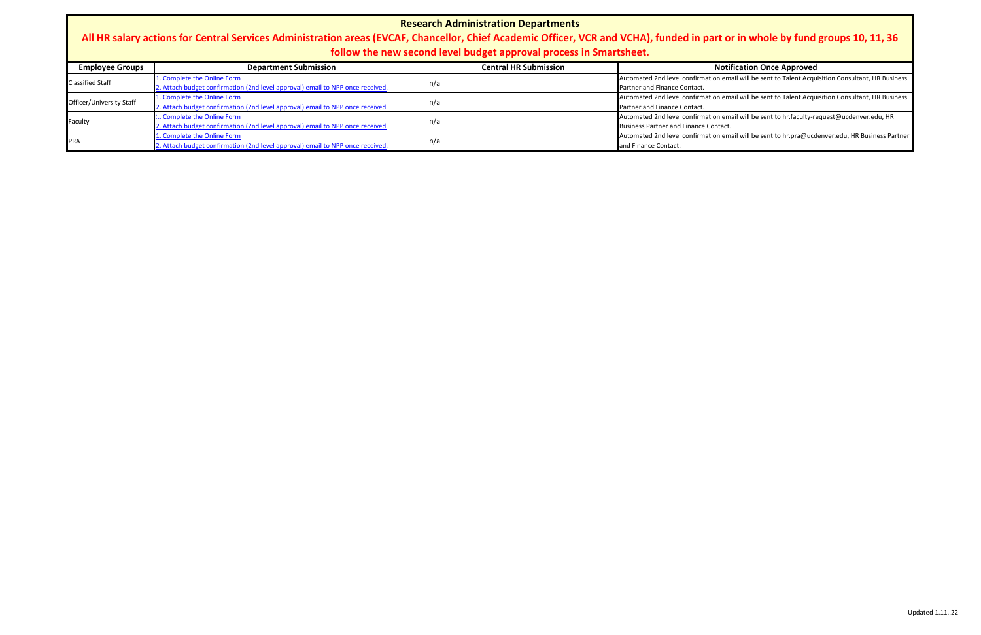| <b>Research Administration Departments</b><br>All HR salary actions for Central Services Administration areas (EVCAF, Chancellor, Chief Academic Officer, VCR and VCHA), funded in part or in whole by fund groups 10, 11, 36<br>follow the new second level budget approval process in Smartsheet. |                                                                                |                              |                                                                                                   |
|-----------------------------------------------------------------------------------------------------------------------------------------------------------------------------------------------------------------------------------------------------------------------------------------------------|--------------------------------------------------------------------------------|------------------------------|---------------------------------------------------------------------------------------------------|
| <b>Employee Groups</b>                                                                                                                                                                                                                                                                              | <b>Department Submission</b>                                                   | <b>Central HR Submission</b> | <b>Notification Once Approved</b>                                                                 |
| <b>Classified Staff</b>                                                                                                                                                                                                                                                                             | 1. Complete the Online Form                                                    | $\lfloor n/a \rfloor$        | Automated 2nd level confirmation email will be sent to Talent Acquisition Consultant, HR Business |
|                                                                                                                                                                                                                                                                                                     | 2. Attach budget confirmation (2nd level approval) email to NPP once received. |                              | Partner and Finance Contact.                                                                      |
| Officer/University Staff                                                                                                                                                                                                                                                                            | 1. Complete the Online Form                                                    | $\lfloor n/a \rfloor$        | Automated 2nd level confirmation email will be sent to Talent Acquisition Consultant, HR Business |
|                                                                                                                                                                                                                                                                                                     | 2. Attach budget confirmation (2nd level approval) email to NPP once received. |                              | Partner and Finance Contact.                                                                      |
| Faculty                                                                                                                                                                                                                                                                                             | 1. Complete the Online Form                                                    | $\lfloor n/a \rfloor$        | Automated 2nd level confirmation email will be sent to hr.faculty-request@ucdenver.edu, HR        |
|                                                                                                                                                                                                                                                                                                     | 2. Attach budget confirmation (2nd level approval) email to NPP once received. |                              | Business Partner and Finance Contact.                                                             |
| PRA                                                                                                                                                                                                                                                                                                 | 1. Complete the Online Form                                                    | $\lfloor n/a \rfloor$        | Automated 2nd level confirmation email will be sent to hr.pra@ucdenver.edu, HR Business Partner   |
|                                                                                                                                                                                                                                                                                                     | 2. Attach budget confirmation (2nd level approval) email to NPP once received  |                              | and Finance Contact                                                                               |

## t <mark>or in whole by fund groups 10, 11, 36</mark>

#### **Absolution Once Approved**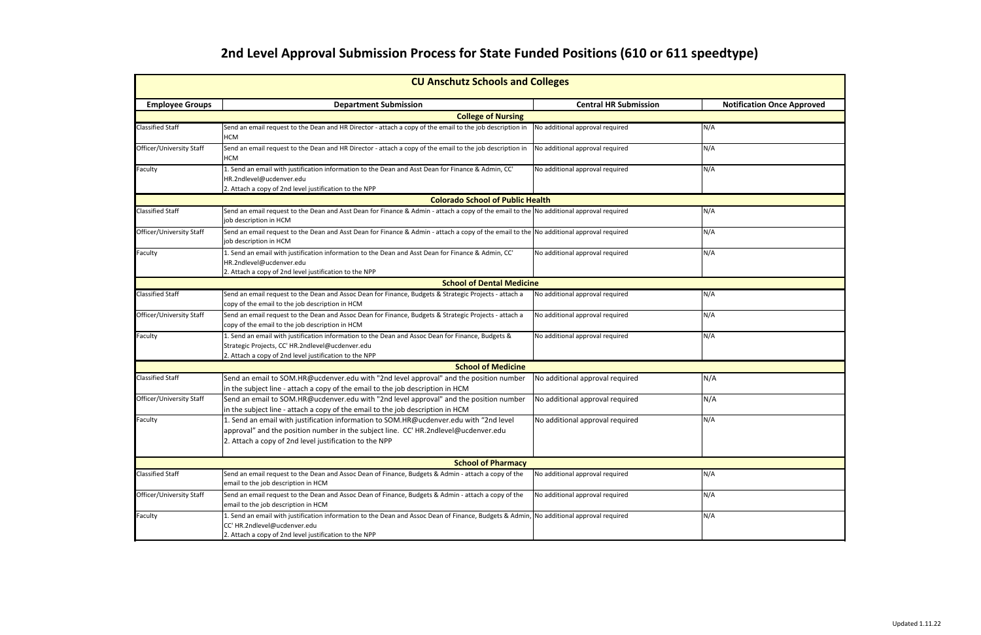# **2nd Level Approval Submission Process for State Funded Positions (610 or 611 speedtype)**

| <b>CU Anschutz Schools and Colleges</b> |                                                                                                                                                                                                                                         |                                 |                                   |  |
|-----------------------------------------|-----------------------------------------------------------------------------------------------------------------------------------------------------------------------------------------------------------------------------------------|---------------------------------|-----------------------------------|--|
| <b>Employee Groups</b>                  | <b>Department Submission</b>                                                                                                                                                                                                            | <b>Central HR Submission</b>    | <b>Notification Once Approved</b> |  |
|                                         | <b>College of Nursing</b>                                                                                                                                                                                                               |                                 |                                   |  |
| Classified Staff                        | Send an email request to the Dean and HR Director - attach a copy of the email to the job description in<br><b>HCM</b>                                                                                                                  | No additional approval required | N/A                               |  |
| Officer/University Staff                | Send an email request to the Dean and HR Director - attach a copy of the email to the job description in<br><b>HCM</b>                                                                                                                  | No additional approval required | N/A                               |  |
| Faculty                                 | 1. Send an email with justification information to the Dean and Asst Dean for Finance & Admin, CC'<br>HR.2ndlevel@ucdenver.edu<br>2. Attach a copy of 2nd level justification to the NPP                                                | No additional approval required | N/A                               |  |
|                                         | <b>Colorado School of Public Health</b>                                                                                                                                                                                                 |                                 |                                   |  |
| <b>Classified Staff</b>                 | Send an email request to the Dean and Asst Dean for Finance & Admin - attach a copy of the email to the No additional approval required<br>job description in HCM                                                                       |                                 | N/A                               |  |
| Officer/University Staff                | Send an email request to the Dean and Asst Dean for Finance & Admin - attach a copy of the email to the No additional approval required<br>job description in HCM                                                                       |                                 | N/A                               |  |
| Faculty                                 | 1. Send an email with justification information to the Dean and Asst Dean for Finance & Admin, CC'<br>HR.2ndlevel@ucdenver.edu<br>2. Attach a copy of 2nd level justification to the NPP                                                | No additional approval required | N/A                               |  |
|                                         | <b>School of Dental Medicine</b>                                                                                                                                                                                                        |                                 |                                   |  |
| Classified Staff                        | Send an email request to the Dean and Assoc Dean for Finance, Budgets & Strategic Projects - attach a<br>copy of the email to the job description in HCM                                                                                | No additional approval required | N/A                               |  |
| Officer/University Staff                | Send an email request to the Dean and Assoc Dean for Finance, Budgets & Strategic Projects - attach a<br>copy of the email to the job description in HCM                                                                                | No additional approval required | N/A                               |  |
| Faculty                                 | 1. Send an email with justification information to the Dean and Assoc Dean for Finance, Budgets &<br>Strategic Projects, CC' HR.2ndlevel@ucdenver.edu<br>2. Attach a copy of 2nd level justification to the NPP                         | No additional approval required | N/A                               |  |
|                                         | <b>School of Medicine</b>                                                                                                                                                                                                               |                                 |                                   |  |
| Classified Staff                        | Send an email to SOM.HR@ucdenver.edu with "2nd level approval" and the position number<br>in the subject line - attach a copy of the email to the job description in HCM                                                                | No additional approval required | N/A                               |  |
| Officer/University Staff                | Send an email to SOM.HR@ucdenver.edu with "2nd level approval" and the position number<br>in the subject line - attach a copy of the email to the job description in HCM                                                                | No additional approval required | N/A                               |  |
| Faculty                                 | 1. Send an email with justification information to SOM.HR@ucdenver.edu with "2nd level<br>approval" and the position number in the subject line. CC' HR.2ndlevel@ucdenver.edu<br>2. Attach a copy of 2nd level justification to the NPP | No additional approval required | N/A                               |  |
|                                         | <b>School of Pharmacy</b>                                                                                                                                                                                                               |                                 |                                   |  |
| <b>Classified Staff</b>                 | Send an email request to the Dean and Assoc Dean of Finance, Budgets & Admin - attach a copy of the<br>email to the job description in HCM                                                                                              | No additional approval required | N/A                               |  |
| Officer/University Staff                | Send an email request to the Dean and Assoc Dean of Finance, Budgets & Admin - attach a copy of the<br>email to the job description in HCM                                                                                              | No additional approval required | N/A                               |  |
| Faculty                                 | 1. Send an email with justification information to the Dean and Assoc Dean of Finance, Budgets & Admin, No additional approval required<br>CC' HR.2ndlevel@ucdenver.edu<br>2. Attach a copy of 2nd level justification to the NPP       |                                 | N/A                               |  |

| <b>Notification Once Approved</b> |
|-----------------------------------|
|                                   |
|                                   |
|                                   |
|                                   |
|                                   |
|                                   |
|                                   |
|                                   |
|                                   |
|                                   |
|                                   |
|                                   |
|                                   |
|                                   |
|                                   |
|                                   |
|                                   |
|                                   |
|                                   |
|                                   |
|                                   |
|                                   |